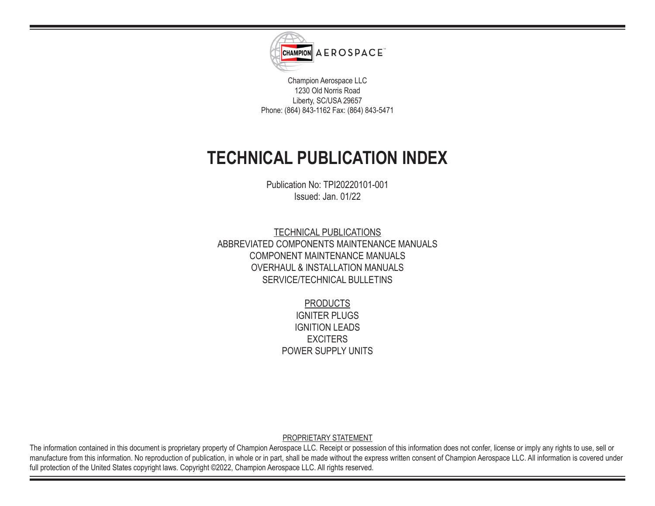

Champion Aerospace LLC 1230 Old Norris Road Liberty, SC/USA 29657 Phone: (864) 843-1162 Fax: (864) 843-5471

## **TECHNICAL PUBLICATION INDEX**

Publication No: TPI20220101-001 Issued: Jan. 01/22

TECHNICAL PUBLICATIONS ABBREVIATED COMPONENTS MAINTENANCE MANUALS COMPONENT MAINTENANCE MANUALS OVERHAUL & INSTALLATION MANUALS SERVICE/TECHNICAL BULLETINS

> PRODUCTS IGNITER PLUGS IGNITION LEADS **EXCITERS** POWER SUPPLY UNITS

PROPRIETARY STATEMENT

The information contained in this document is proprietary property of Champion Aerospace LLC. Receipt or possession of this information does not confer, license or imply any rights to use, sell or manufacture from this information. No reproduction of publication, in whole or in part, shall be made without the express written consent of Champion Aerospace LLC. All information is covered under full protection of the United States copyright laws. Copyright ©2022, Champion Aerospace LLC. All rights reserved.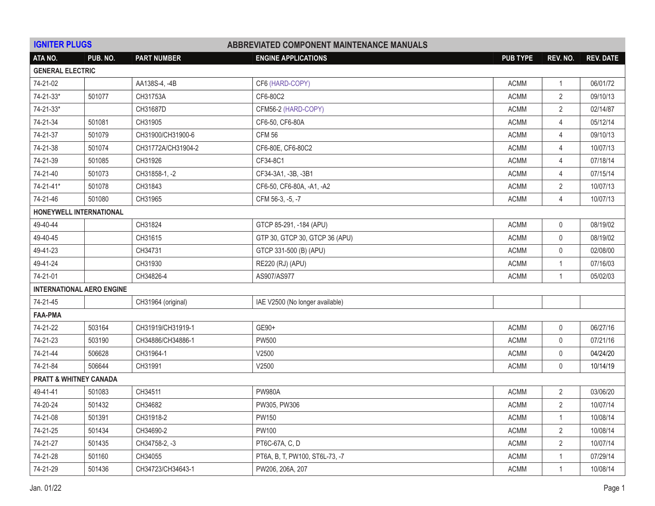| <b>IGNITER PLUGS</b><br><b>ABBREVIATED COMPONENT MAINTENANCE MANUALS</b> |                                  |                    |                                 |                 |                |                  |
|--------------------------------------------------------------------------|----------------------------------|--------------------|---------------------------------|-----------------|----------------|------------------|
| ATA NO.                                                                  | PUB. NO.                         | <b>PART NUMBER</b> | <b>ENGINE APPLICATIONS</b>      | <b>PUB TYPE</b> | REV. NO.       | <b>REV. DATE</b> |
| <b>GENERAL ELECTRIC</b>                                                  |                                  |                    |                                 |                 |                |                  |
| 74-21-02                                                                 |                                  | AA138S-4, -4B      | CF6 (HARD-COPY)                 | <b>ACMM</b>     | $\mathbf{1}$   | 06/01/72         |
| 74-21-33*                                                                | 501077                           | CH31753A           | CF6-80C2                        | <b>ACMM</b>     | 2              | 09/10/13         |
| 74-21-33*                                                                |                                  | CH31687D           | CFM56-2 (HARD-COPY)             | <b>ACMM</b>     | $\overline{2}$ | 02/14/87         |
| 74-21-34                                                                 | 501081                           | CH31905            | CF6-50, CF6-80A                 | <b>ACMM</b>     | $\overline{4}$ | 05/12/14         |
| 74-21-37                                                                 | 501079                           | CH31900/CH31900-6  | <b>CFM 56</b>                   | <b>ACMM</b>     | $\overline{4}$ | 09/10/13         |
| 74-21-38                                                                 | 501074                           | CH31772A/CH31904-2 | CF6-80E, CF6-80C2               | <b>ACMM</b>     | $\overline{4}$ | 10/07/13         |
| 74-21-39                                                                 | 501085                           | CH31926            | CF34-8C1                        | <b>ACMM</b>     | $\overline{4}$ | 07/18/14         |
| 74-21-40                                                                 | 501073                           | CH31858-1, -2      | CF34-3A1, -3B, -3B1             | <b>ACMM</b>     | 4              | 07/15/14         |
| 74-21-41*                                                                | 501078                           | CH31843            | CF6-50, CF6-80A, -A1, -A2       | <b>ACMM</b>     | $\mathbf{2}$   | 10/07/13         |
| 74-21-46                                                                 | 501080                           | CH31965            | CFM 56-3, -5, -7                | <b>ACMM</b>     | $\overline{4}$ | 10/07/13         |
| HONEYWELL INTERNATIONAL                                                  |                                  |                    |                                 |                 |                |                  |
| 49-40-44                                                                 |                                  | CH31824            | GTCP 85-291, -184 (APU)         | <b>ACMM</b>     | $\mathbf 0$    | 08/19/02         |
| 49-40-45                                                                 |                                  | CH31615            | GTP 30, GTCP 30, GTCP 36 (APU)  | <b>ACMM</b>     | $\mathbf 0$    | 08/19/02         |
| 49-41-23                                                                 |                                  | CH34731            | GTCP 331-500 (B) (APU)          | <b>ACMM</b>     | 0              | 02/08/00         |
| 49-41-24                                                                 |                                  | CH31930            | RE220 (RJ) (APU)                | <b>ACMM</b>     | 1              | 07/16/03         |
| 74-21-01                                                                 |                                  | CH34826-4          | AS907/AS977                     | <b>ACMM</b>     | $\mathbf{1}$   | 05/02/03         |
|                                                                          | <b>INTERNATIONAL AERO ENGINE</b> |                    |                                 |                 |                |                  |
| 74-21-45                                                                 |                                  | CH31964 (original) | IAE V2500 (No longer available) |                 |                |                  |
| <b>FAA-PMA</b>                                                           |                                  |                    |                                 |                 |                |                  |
| 74-21-22                                                                 | 503164                           | CH31919/CH31919-1  | GE90+                           | <b>ACMM</b>     | $\mathbf 0$    | 06/27/16         |
| 74-21-23                                                                 | 503190                           | CH34886/CH34886-1  | <b>PW500</b>                    | <b>ACMM</b>     | $\mathbf 0$    | 07/21/16         |
| 74-21-44                                                                 | 506628                           | CH31964-1          | V2500                           | <b>ACMM</b>     | 0              | 04/24/20         |
| 74-21-84                                                                 | 506644                           | CH31991            | V2500                           | <b>ACMM</b>     | $\mathbf 0$    | 10/14/19         |
| PRATT & WHITNEY CANADA                                                   |                                  |                    |                                 |                 |                |                  |
| 49-41-41                                                                 | 501083                           | CH34511            | <b>PW980A</b>                   | <b>ACMM</b>     | $\overline{2}$ | 03/06/20         |
| 74-20-24                                                                 | 501432                           | CH34682            | PW305, PW306                    | <b>ACMM</b>     | $\mathbf{2}$   | 10/07/14         |
| 74-21-08                                                                 | 501391                           | CH31918-2          | PW150                           | <b>ACMM</b>     | $\mathbf{1}$   | 10/08/14         |
| 74-21-25                                                                 | 501434                           | CH34690-2          | <b>PW100</b>                    | <b>ACMM</b>     | $\overline{2}$ | 10/08/14         |
| 74-21-27                                                                 | 501435                           | CH34758-2, -3      | PT6C-67A, C, D                  | <b>ACMM</b>     | $\overline{2}$ | 10/07/14         |
| 74-21-28                                                                 | 501160                           | CH34055            | PT6A, B, T, PW100, ST6L-73, -7  | <b>ACMM</b>     | 1              | 07/29/14         |
| 74-21-29                                                                 | 501436                           | CH34723/CH34643-1  | PW206, 206A, 207                | <b>ACMM</b>     |                | 10/08/14         |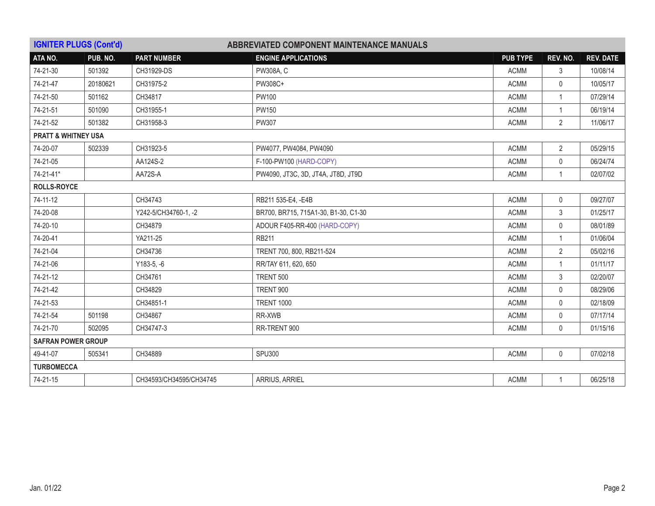| <b>IGNITER PLUGS (Cont'd)</b>  |                           |                         | ABBREVIATED COMPONENT MAINTENANCE MANUALS |                 |                |                  |  |
|--------------------------------|---------------------------|-------------------------|-------------------------------------------|-----------------|----------------|------------------|--|
| ATA NO.                        | PUB. NO.                  | <b>PART NUMBER</b>      | <b>ENGINE APPLICATIONS</b>                | <b>PUB TYPE</b> | REV. NO.       | <b>REV. DATE</b> |  |
| 74-21-30                       | 501392                    | CH31929-DS              | PW308A, C                                 | <b>ACMM</b>     | 3              | 10/08/14         |  |
| 74-21-47                       | 20180621                  | CH31975-2               | PW308C+                                   | <b>ACMM</b>     | $\mathbf 0$    | 10/05/17         |  |
| 74-21-50                       | 501162                    | CH34817                 | <b>PW100</b>                              | <b>ACMM</b>     | $\mathbf{1}$   | 07/29/14         |  |
| 74-21-51                       | 501090                    | CH31955-1               | <b>PW150</b>                              | <b>ACMM</b>     | 1              | 06/19/14         |  |
| 74-21-52                       | 501382                    | CH31958-3               | <b>PW307</b>                              | <b>ACMM</b>     | $\mathbf{2}$   | 11/06/17         |  |
| <b>PRATT &amp; WHITNEY USA</b> |                           |                         |                                           |                 |                |                  |  |
| 74-20-07                       | 502339                    | CH31923-5               | PW4077, PW4084, PW4090                    | ACMM            | $\overline{2}$ | 05/29/15         |  |
| 74-21-05                       |                           | AA124S-2                | F-100-PW100 (HARD-COPY)                   | <b>ACMM</b>     | $\mathbf 0$    | 06/24/74         |  |
| 74-21-41*                      |                           | AA72S-A                 | PW4090, JT3C, 3D, JT4A, JT8D, JT9D        | <b>ACMM</b>     | 1              | 02/07/02         |  |
| <b>ROLLS-ROYCE</b>             |                           |                         |                                           |                 |                |                  |  |
| 74-11-12                       |                           | CH34743                 | RB211 535-E4, -E4B                        | <b>ACMM</b>     | $\mathbf 0$    | 09/27/07         |  |
| 74-20-08                       |                           | Y242-5/CH34760-1, -2    | BR700, BR715, 715A1-30, B1-30, C1-30      | <b>ACMM</b>     | 3              | 01/25/17         |  |
| 74-20-10                       |                           | CH34879                 | ADOUR F405-RR-400 (HARD-COPY)             | <b>ACMM</b>     | $\mathbf{0}$   | 08/01/89         |  |
| 74-20-41                       |                           | YA211-25                | <b>RB211</b>                              | <b>ACMM</b>     | $\mathbf{1}$   | 01/06/04         |  |
| 74-21-04                       |                           | CH34736                 | TRENT 700, 800, RB211-524                 | <b>ACMM</b>     | $\overline{2}$ | 05/02/16         |  |
| 74-21-06                       |                           | $Y183-5, -6$            | RR/TAY 611, 620, 650                      | <b>ACMM</b>     | $\mathbf{1}$   | 01/11/17         |  |
| 74-21-12                       |                           | CH34761                 | TRENT 500                                 | <b>ACMM</b>     | 3              | 02/20/07         |  |
| 74-21-42                       |                           | CH34829                 | TRENT 900                                 | <b>ACMM</b>     | $\mathsf{O}$   | 08/29/06         |  |
| 74-21-53                       |                           | CH34851-1               | <b>TRENT 1000</b>                         | <b>ACMM</b>     | $\mathbf 0$    | 02/18/09         |  |
| 74-21-54                       | 501198                    | CH34867                 | RR-XWB                                    | <b>ACMM</b>     | $\mathbf 0$    | 07/17/14         |  |
| 74-21-70                       | 502095                    | CH34747-3               | RR-TRENT 900                              | <b>ACMM</b>     | $\mathbf{0}$   | 01/15/16         |  |
|                                | <b>SAFRAN POWER GROUP</b> |                         |                                           |                 |                |                  |  |
| 49-41-07                       | 505341                    | CH34889                 | <b>SPU300</b>                             | <b>ACMM</b>     | $\mathbf 0$    | 07/02/18         |  |
| <b>TURBOMECCA</b>              |                           |                         |                                           |                 |                |                  |  |
| 74-21-15                       |                           | CH34593/CH34595/CH34745 | ARRIUS, ARRIEL                            | <b>ACMM</b>     | 1              | 06/25/18         |  |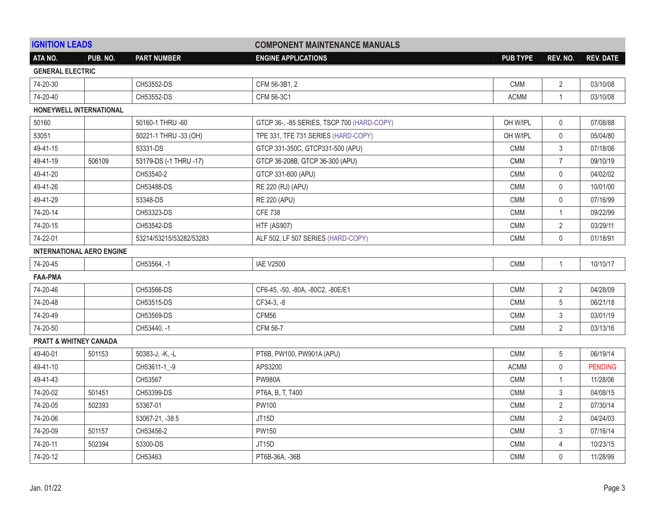| <b>IGNITION LEADS</b>   |                                  |                         | <b>COMPONENT MAINTENANCE MANUALS</b>       |                 |                |                  |
|-------------------------|----------------------------------|-------------------------|--------------------------------------------|-----------------|----------------|------------------|
| ATA NO.                 | PUB. NO.                         | <b>PART NUMBER</b>      | <b>ENGINE APPLICATIONS</b>                 | <b>PUB TYPE</b> | REV. NO.       | <b>REV. DATE</b> |
| <b>GENERAL ELECTRIC</b> |                                  |                         |                                            |                 |                |                  |
| 74-20-30                |                                  | CH53552-DS              | CFM 56-3B1, 2                              | <b>CMM</b>      | 2              | 03/10/08         |
| 74-20-40                |                                  | CH53552-DS              | CFM 56-3C1                                 | <b>ACMM</b>     | $\mathbf{1}$   | 03/10/08         |
|                         | HONEYWELL INTERNATIONAL          |                         |                                            |                 |                |                  |
| 50160                   |                                  | 50160-1 THRU -60        | GTCP 36-, -85 SERIES, TSCP 700 (HARD-COPY) | OH W/IPL        | $\mathbf 0$    | 07/08/88         |
| 53051                   |                                  | 50221-1 THRU -33 (OH)   | TPE 331, TFE 731 SERIES (HARD-COPY)        | OH W/IPL        | 0              | 05/04/80         |
| 49-41-15                |                                  | 53331-DS                | GTCP 331-350C, GTCP331-500 (APU)           | <b>CMM</b>      | 3              | 07/18/06         |
| 49-41-19                | 506109                           | 53179-DS (-1 THRU -17)  | GTCP 36-208B, GTCP 36-300 (APU)            | <b>CMM</b>      | $\overline{7}$ | 09/10/19         |
| 49-41-20                |                                  | CH53540-2               | GTCP 331-600 (APU)                         | <b>CMM</b>      | 0              | 04/02/02         |
| 49-41-26                |                                  | CH53488-DS              | RE 220 (RJ) (APU)                          | <b>CMM</b>      | $\mathbf 0$    | 10/01/00         |
| 49-41-29                |                                  | 53348-DS                | <b>RE 220 (APU)</b>                        | <b>CMM</b>      | $\mathbf{0}$   | 07/16/99         |
| 74-20-14                |                                  | CH53323-DS              | <b>CFE 738</b>                             | <b>CMM</b>      | $\mathbf{1}$   | 09/22/99         |
| 74-20-15                |                                  | CH53542-DS              | <b>HTF (AS907)</b>                         | <b>CMM</b>      | 2              | 03/29/11         |
| 74-22-01                |                                  | 53214/53215/53282/53283 | ALF 502, LF 507 SERIES (HARD-COPY)         | <b>CMM</b>      | 0              | 01/18/91         |
|                         | <b>INTERNATIONAL AERO ENGINE</b> |                         |                                            |                 |                |                  |
| 74-20-45                |                                  | CH53564, -1             | <b>IAE V2500</b>                           | <b>CMM</b>      | $\mathbf{1}$   | 10/10/17         |
| <b>FAA-PMA</b>          |                                  |                         |                                            |                 |                |                  |
| 74-20-46                |                                  | CH53566-DS              | CF6-45, -50, -80A, -80C2, -80E/E1          | <b>CMM</b>      | $\overline{2}$ | 04/28/09         |
| 74-20-48                |                                  | CH53515-DS              | CF34-3, -8                                 | <b>CMM</b>      | 5              | 06/21/18         |
| 74-20-49                |                                  | CH53569-DS              | CFM56                                      | CMM             | 3              | 03/01/19         |
| 74-20-50                |                                  | CH53440, -1             | CFM 56-7                                   | <b>CMM</b>      | $\overline{2}$ | 03/13/16         |
| PRATT & WHITNEY CANADA  |                                  |                         |                                            |                 |                |                  |
| 49-40-01                | 501153                           | 50383-J, -K, -L         | PT6B, PW100, PW901A (APU)                  | <b>CMM</b>      | $\sqrt{5}$     | 06/19/14         |
| 49-41-10                |                                  | CH53611-1_-9            | APS3200                                    | <b>ACMM</b>     | 0              | <b>PENDING</b>   |
| 49-41-43                |                                  | CH53567                 | <b>PW980A</b>                              | <b>CMM</b>      | 1              | 11/28/06         |
| 74-20-02                | 501451                           | CH53399-DS              | PT6A, B, T, T400                           | <b>CMM</b>      | 3              | 04/08/15         |
| 74-20-05                | 502393                           | 53367-01                | <b>PW100</b>                               | <b>CMM</b>      | $\overline{2}$ | 07/30/14         |
| 74-20-06                |                                  | 53067-21, -38.5         | JT15D                                      | <b>CMM</b>      | 2              | 04/24/03         |
| 74-20-09                | 501157                           | CH53456-2               | <b>PW150</b>                               | <b>CMM</b>      | 3              | 07/16/14         |
| 74-20-11                | 502394                           | 53300-DS                | JT15D                                      | <b>CMM</b>      | 4              | 10/23/15         |
| 74-20-12                |                                  | CH53463                 | PT6B-36A, -36B                             | <b>CMM</b>      | 0              | 11/28/99         |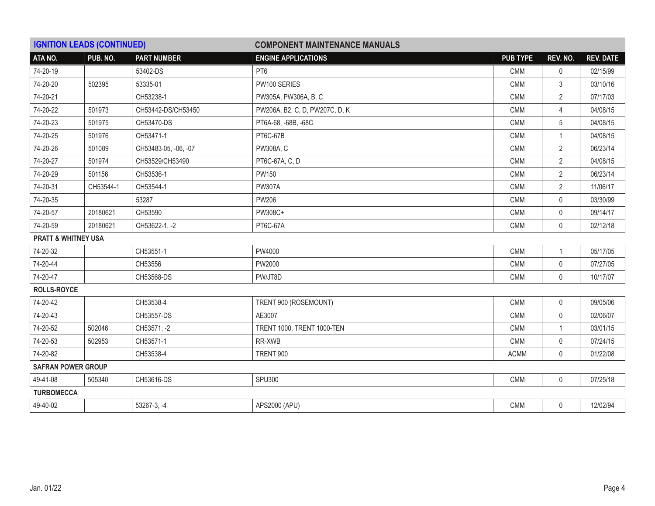| <b>IGNITION LEADS (CONTINUED)</b> |           |                      | <b>COMPONENT MAINTENANCE MANUALS</b> |                 |                |                  |
|-----------------------------------|-----------|----------------------|--------------------------------------|-----------------|----------------|------------------|
| ATA NO.                           | PUB. NO.  | <b>PART NUMBER</b>   | <b>ENGINE APPLICATIONS</b>           | <b>PUB TYPE</b> | REV. NO.       | <b>REV. DATE</b> |
| 74-20-19                          |           | 53402-DS             | PT <sub>6</sub>                      | <b>CMM</b>      | $\mathbf{0}$   | 02/15/99         |
| 74-20-20                          | 502395    | 53335-01             | PW100 SERIES                         | <b>CMM</b>      | 3              | 03/10/16         |
| 74-20-21                          |           | CH53238-1            | PW305A, PW306A, B, C                 | <b>CMM</b>      | $\overline{2}$ | 07/17/03         |
| 74-20-22                          | 501973    | CH53442-DS/CH53450   | PW206A, B2, C, D, PW207C, D, K       | <b>CMM</b>      | $\overline{4}$ | 04/08/15         |
| 74-20-23                          | 501975    | CH53470-DS           | PT6A-68, -68B, -68C                  | <b>CMM</b>      | 5              | 04/08/15         |
| 74-20-25                          | 501976    | CH53471-1            | PT6C-67B                             | <b>CMM</b>      | $\overline{1}$ | 04/08/15         |
| 74-20-26                          | 501089    | CH53483-05, -06, -07 | PW308A, C                            | <b>CMM</b>      | $\overline{2}$ | 06/23/14         |
| 74-20-27                          | 501974    | CH53529/CH53490      | PT6C-67A, C, D                       | <b>CMM</b>      | $\overline{2}$ | 04/08/15         |
| 74-20-29                          | 501156    | CH53536-1            | PW150                                | <b>CMM</b>      | $\overline{2}$ | 06/23/14         |
| 74-20-31                          | CH53544-1 | CH53544-1            | <b>PW307A</b>                        | <b>CMM</b>      | $\overline{2}$ | 11/06/17         |
| 74-20-35                          |           | 53287                | <b>PW206</b>                         | <b>CMM</b>      | $\mathbf 0$    | 03/30/99         |
| 74-20-57                          | 20180621  | CH53590              | PW308C+                              | <b>CMM</b>      | $\mathbf 0$    | 09/14/17         |
| 74-20-59                          | 20180621  | CH53622-1, -2        | PT6C-67A                             | <b>CMM</b>      | $\mathbf 0$    | 02/12/18         |
| <b>PRATT &amp; WHITNEY USA</b>    |           |                      |                                      |                 |                |                  |
| 74-20-32                          |           | CH53551-1            | PW4000                               | CMM             | $\mathbf{1}$   | 05/17/05         |
| 74-20-44                          |           | CH53556              | PW2000                               | <b>CMM</b>      | 0              | 07/27/05         |
| 74-20-47                          |           | CH53568-DS           | PW/JT8D                              | <b>CMM</b>      | $\mathbf 0$    | 10/17/07         |
| <b>ROLLS-ROYCE</b>                |           |                      |                                      |                 |                |                  |
| 74-20-42                          |           | CH53538-4            | TRENT 900 (ROSEMOUNT)                | CMM             | $\mathbf 0$    | 09/05/06         |
| 74-20-43                          |           | CH53557-DS           | AE3007                               | <b>CMM</b>      | $\mathbf 0$    | 02/06/07         |
| 74-20-52                          | 502046    | CH53571, -2          | TRENT 1000, TRENT 1000-TEN           | <b>CMM</b>      | $\mathbf{1}$   | 03/01/15         |
| 74-20-53                          | 502953    | CH53571-1            | RR-XWB                               | <b>CMM</b>      | $\mathbf 0$    | 07/24/15         |
| 74-20-82                          |           | CH53538-4            | TRENT 900                            | <b>ACMM</b>     | $\mathbf 0$    | 01/22/08         |
| <b>SAFRAN POWER GROUP</b>         |           |                      |                                      |                 |                |                  |
| 49-41-08                          | 505340    | CH53616-DS           | <b>SPU300</b>                        | <b>CMM</b>      | $\mathbf 0$    | 07/25/18         |
| <b>TURBOMECCA</b>                 |           |                      |                                      |                 |                |                  |
| 49-40-02                          |           | 53267-3, -4          | APS2000 (APU)                        | <b>CMM</b>      | $\mathbf{0}$   | 12/02/94         |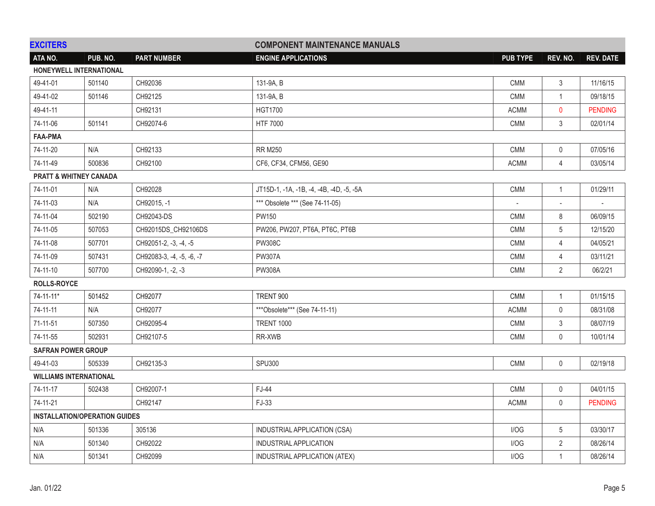| <b>EXCITERS</b>                      |                               |                           | <b>COMPONENT MAINTENANCE MANUALS</b>     |                 |                |                  |
|--------------------------------------|-------------------------------|---------------------------|------------------------------------------|-----------------|----------------|------------------|
| ATA NO.                              | PUB. NO.                      | <b>PART NUMBER</b>        | <b>ENGINE APPLICATIONS</b>               | <b>PUB TYPE</b> | REV. NO.       | <b>REV. DATE</b> |
| HONEYWELL INTERNATIONAL              |                               |                           |                                          |                 |                |                  |
| 49-41-01                             | 501140                        | CH92036                   | 131-9A, B                                | CMM             | 3              | 11/16/15         |
| 49-41-02                             | 501146                        | CH92125                   | 131-9A, B                                | <b>CMM</b>      | $\mathbf{1}$   | 09/18/15         |
| 49-41-11                             |                               | CH92131                   | <b>HGT1700</b>                           | <b>ACMM</b>     | 0              | <b>PENDING</b>   |
| 74-11-06                             | 501141                        | CH92074-6                 | HTF 7000                                 | <b>CMM</b>      | 3              | 02/01/14         |
| <b>FAA-PMA</b>                       |                               |                           |                                          |                 |                |                  |
| 74-11-20                             | N/A                           | CH92133                   | <b>RR M250</b>                           | <b>CMM</b>      | 0              | 07/05/16         |
| 74-11-49                             | 500836                        | CH92100                   | CF6, CF34, CFM56, GE90                   | <b>ACMM</b>     | 4              | 03/05/14         |
| <b>PRATT &amp; WHITNEY CANADA</b>    |                               |                           |                                          |                 |                |                  |
| 74-11-01                             | N/A                           | CH92028                   | JT15D-1, -1A, -1B, -4, -4B, -4D, -5, -5A | <b>CMM</b>      | $\mathbf{1}$   | 01/29/11         |
| 74-11-03                             | N/A                           | CH92015, -1               | *** Obsolete *** (See 74-11-05)          | $\sim$          | $\mathbf{r}$   |                  |
| 74-11-04                             | 502190                        | CH92043-DS                | PW150                                    | <b>CMM</b>      | 8              | 06/09/15         |
| 74-11-05                             | 507053                        | CH92015DS_CH92106DS       | PW206, PW207, PT6A, PT6C, PT6B           | <b>CMM</b>      | 5              | 12/15/20         |
| 74-11-08                             | 507701                        | CH92051-2, -3, -4, -5     | <b>PW308C</b>                            | <b>CMM</b>      | 4              | 04/05/21         |
| 74-11-09                             | 507431                        | CH92083-3, -4, -5, -6, -7 | <b>PW307A</b>                            | CMM             | 4              | 03/11/21         |
| 74-11-10                             | 507700                        | CH92090-1, -2, -3         | <b>PW308A</b>                            | <b>CMM</b>      | $\overline{2}$ | 06/2/21          |
| <b>ROLLS-ROYCE</b>                   |                               |                           |                                          |                 |                |                  |
| $74 - 11 - 11*$                      | 501452                        | CH92077                   | TRENT 900                                | <b>CMM</b>      | 1              | 01/15/15         |
| 74-11-11                             | N/A                           | CH92077                   | ***Obsolete*** (See 74-11-11)            | <b>ACMM</b>     | $\mathbf{0}$   | 08/31/08         |
| 71-11-51                             | 507350                        | CH92095-4                 | <b>TRENT 1000</b>                        | CMM             | 3              | 08/07/19         |
| 74-11-55                             | 502931                        | CH92107-5                 | RR-XWB                                   | <b>CMM</b>      | 0              | 10/01/14         |
| <b>SAFRAN POWER GROUP</b>            |                               |                           |                                          |                 |                |                  |
| 49-41-03                             | 505339                        | CH92135-3                 | <b>SPU300</b>                            | <b>CMM</b>      | $\mathbf 0$    | 02/19/18         |
|                                      | <b>WILLIAMS INTERNATIONAL</b> |                           |                                          |                 |                |                  |
| 74-11-17                             | 502438                        | CH92007-1                 | FJ-44                                    | <b>CMM</b>      | 0              | 04/01/15         |
| 74-11-21                             |                               | CH92147                   | FJ-33                                    | <b>ACMM</b>     | $\mathsf{0}$   | <b>PENDING</b>   |
| <b>INSTALLATION/OPERATION GUIDES</b> |                               |                           |                                          |                 |                |                  |
| N/A                                  | 501336                        | 305136                    | INDUSTRIAL APPLICATION (CSA)             | I/OG            | 5              | 03/30/17         |
| N/A                                  | 501340                        | CH92022                   | INDUSTRIAL APPLICATION                   | I/OG            | $\overline{2}$ | 08/26/14         |
| N/A                                  | 501341                        | CH92099                   | INDUSTRIAL APPLICATION (ATEX)            | I/OG            | $\mathbf{1}$   | 08/26/14         |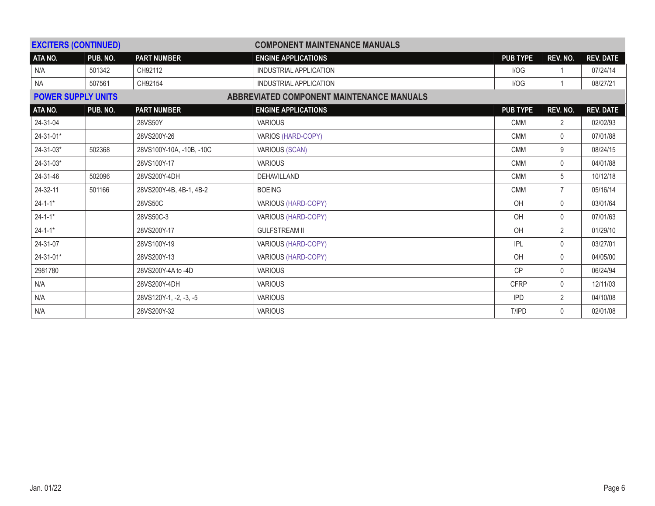| <b>EXCITERS (CONTINUED)</b> |                                                                        |                          | <b>COMPONENT MAINTENANCE MANUALS</b> |                 |                |                  |
|-----------------------------|------------------------------------------------------------------------|--------------------------|--------------------------------------|-----------------|----------------|------------------|
| ATA NO.                     | PUB. NO.                                                               | <b>PART NUMBER</b>       | <b>ENGINE APPLICATIONS</b>           | <b>PUB TYPE</b> | REV. NO.       | <b>REV. DATE</b> |
| N/A                         | 501342                                                                 | CH92112                  | INDUSTRIAL APPLICATION               | I/OG            |                | 07/24/14         |
| <b>NA</b>                   | 507561                                                                 | CH92154                  | INDUSTRIAL APPLICATION               | I/OG            |                | 08/27/21         |
|                             | ABBREVIATED COMPONENT MAINTENANCE MANUALS<br><b>POWER SUPPLY UNITS</b> |                          |                                      |                 |                |                  |
| ATA NO.                     | PUB. NO.                                                               | <b>PART NUMBER</b>       | <b>ENGINE APPLICATIONS</b>           | <b>PUB TYPE</b> | REV. NO.       | <b>REV. DATE</b> |
| 24-31-04                    |                                                                        | 28VS50Y                  | <b>VARIOUS</b>                       | <b>CMM</b>      | $\overline{2}$ | 02/02/93         |
| 24-31-01*                   |                                                                        | 28VS200Y-26              | <b>VARIOS (HARD-COPY)</b>            | <b>CMM</b>      | 0              | 07/01/88         |
| $24 - 31 - 03*$             | 502368                                                                 | 28VS100Y-10A, -10B, -10C | <b>VARIOUS (SCAN)</b>                | <b>CMM</b>      | 9              | 08/24/15         |
| $24-31-03*$                 |                                                                        | 28VS100Y-17              | <b>VARIOUS</b>                       | <b>CMM</b>      | $\mathbf{0}$   | 04/01/88         |
| 24-31-46                    | 502096                                                                 | 28VS200Y-4DH             | DEHAVILLAND                          | <b>CMM</b>      | 5              | 10/12/18         |
| 24-32-11                    | 501166                                                                 | 28VS200Y-4B, 4B-1, 4B-2  | <b>BOEING</b>                        | <b>CMM</b>      | $\overline{7}$ | 05/16/14         |
| $24 - 1 - 1*$               |                                                                        | 28VS50C                  | <b>VARIOUS (HARD-COPY)</b>           | OH              | $\mathbf{0}$   | 03/01/64         |
| $24 - 1 - 1*$               |                                                                        | 28VS50C-3                | VARIOUS (HARD-COPY)                  | OH              | $\mathbf 0$    | 07/01/63         |
| $24 - 1 - 1*$               |                                                                        | 28VS200Y-17              | <b>GULFSTREAM II</b>                 | OH              | 2              | 01/29/10         |
| 24-31-07                    |                                                                        | 28VS100Y-19              | VARIOUS (HARD-COPY)                  | <b>IPL</b>      | $\mathbf{0}$   | 03/27/01         |
| 24-31-01*                   |                                                                        | 28VS200Y-13              | VARIOUS (HARD-COPY)                  | OH              | $\mathbf 0$    | 04/05/00         |
| 2981780                     |                                                                        | 28VS200Y-4A to -4D       | <b>VARIOUS</b>                       | <b>CP</b>       | $\mathbf 0$    | 06/24/94         |
| N/A                         |                                                                        | 28VS200Y-4DH             | <b>VARIOUS</b>                       | <b>CFRP</b>     | $\mathbf 0$    | 12/11/03         |
| N/A                         |                                                                        | 28VS120Y-1, -2, -3, -5   | <b>VARIOUS</b>                       | <b>IPD</b>      | 2              | 04/10/08         |
| N/A                         |                                                                        | 28VS200Y-32              | <b>VARIOUS</b>                       | T/IPD           | $\mathbf{0}$   | 02/01/08         |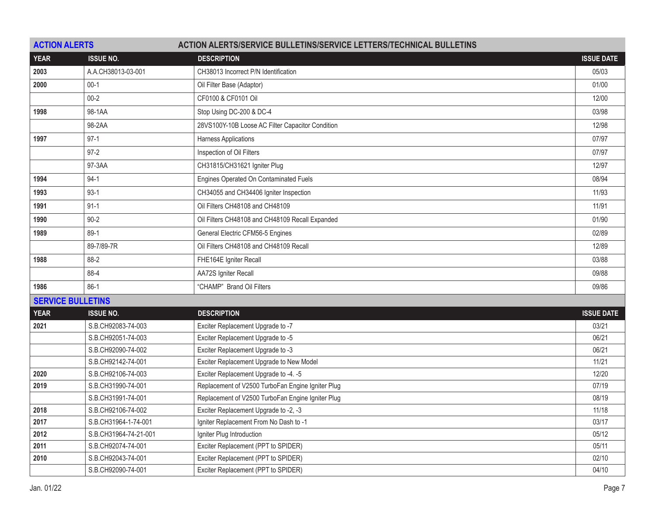| <b>ACTION ALERTS</b> |                          | <b>ACTION ALERTS/SERVICE BULLETINS/SERVICE LETTERS/TECHNICAL BULLETINS</b> |                   |  |  |
|----------------------|--------------------------|----------------------------------------------------------------------------|-------------------|--|--|
| <b>YEAR</b>          | <b>ISSUE NO.</b>         | <b>DESCRIPTION</b>                                                         | <b>ISSUE DATE</b> |  |  |
| 2003                 | A.A.CH38013-03-001       | CH38013 Incorrect P/N Identification                                       | 05/03             |  |  |
| 2000                 | $00-1$                   | Oil Filter Base (Adaptor)                                                  | 01/00             |  |  |
|                      | $00 - 2$                 | CF0100 & CF0101 Oil                                                        | 12/00             |  |  |
| 1998                 | 98-1AA                   | Stop Using DC-200 & DC-4                                                   | 03/98             |  |  |
|                      | 98-2AA                   | 28VS100Y-10B Loose AC Filter Capacitor Condition                           | 12/98             |  |  |
| 1997                 | $97-1$                   | Harness Applications                                                       | 07/97             |  |  |
|                      | $97 - 2$                 | Inspection of Oil Filters                                                  | 07/97             |  |  |
|                      | 97-3AA                   | CH31815/CH31621 Igniter Plug                                               | 12/97             |  |  |
| 1994                 | $94-1$                   | Engines Operated On Contaminated Fuels                                     | 08/94             |  |  |
| 1993                 | $93-1$                   | CH34055 and CH34406 Igniter Inspection                                     | 11/93             |  |  |
| 1991                 | $91 - 1$                 | Oil Filters CH48108 and CH48109                                            | 11/91             |  |  |
| 1990                 | $90 - 2$                 | Oil Filters CH48108 and CH48109 Recall Expanded                            | 01/90             |  |  |
| 1989                 | $89-1$                   | General Electric CFM56-5 Engines                                           | 02/89             |  |  |
|                      | 89-7/89-7R               | Oil Filters CH48108 and CH48109 Recall                                     | 12/89             |  |  |
| 1988                 | 88-2                     | FHE164E Igniter Recall                                                     | 03/88             |  |  |
|                      | 88-4                     | AA72S Igniter Recall                                                       | 09/88             |  |  |
| 1986                 | $86-1$                   | "CHAMP" Brand Oil Filters                                                  | 09/86             |  |  |
|                      | <b>SERVICE BULLETINS</b> |                                                                            |                   |  |  |
| <b>YEAR</b>          | <b>ISSUE NO.</b>         | <b>DESCRIPTION</b>                                                         | <b>ISSUE DATE</b> |  |  |
| 2021                 | S.B.CH92083-74-003       | Exciter Replacement Upgrade to -7                                          | 03/21             |  |  |
|                      | S.B.CH92051-74-003       | Exciter Replacement Upgrade to -5                                          | 06/21             |  |  |
|                      | S.B.CH92090-74-002       | Exciter Replacement Upgrade to -3                                          | 06/21             |  |  |
|                      | S.B.CH92142-74-001       | Exciter Replacement Upgrade to New Model                                   | 11/21             |  |  |
| 2020                 | S.B.CH92106-74-003       | Exciter Replacement Upgrade to -4. -5                                      | 12/20             |  |  |
| 2019                 | S.B.CH31990-74-001       | Replacement of V2500 TurboFan Engine Igniter Plug                          | 07/19             |  |  |
|                      | S.B.CH31991-74-001       | Replacement of V2500 TurboFan Engine Igniter Plug                          | 08/19             |  |  |
| 2018                 | S.B.CH92106-74-002       | Exciter Replacement Upgrade to -2, -3                                      | 11/18             |  |  |
| 2017                 | S.B.CH31964-1-74-001     | Igniter Replacement From No Dash to -1                                     | 03/17             |  |  |
| 2012                 | S.B.CH31964-74-21-001    | Igniter Plug Introduction                                                  | 05/12             |  |  |
| 2011                 | S.B.CH92074-74-001       | Exciter Replacement (PPT to SPIDER)                                        | 05/11             |  |  |
| 2010                 | S.B.CH92043-74-001       | Exciter Replacement (PPT to SPIDER)                                        | 02/10             |  |  |
|                      | S.B.CH92090-74-001       | Exciter Replacement (PPT to SPIDER)                                        | 04/10             |  |  |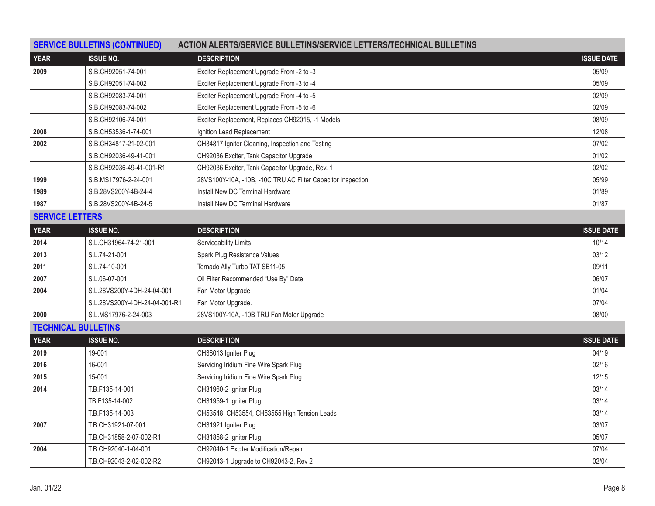|                        | <b>SERVICE BULLETINS (CONTINUED)</b> | <b>ACTION ALERTS/SERVICE BULLETINS/SERVICE LETTERS/TECHNICAL BULLETINS</b> |                   |
|------------------------|--------------------------------------|----------------------------------------------------------------------------|-------------------|
| <b>YEAR</b>            | <b>ISSUE NO.</b>                     | <b>DESCRIPTION</b>                                                         | <b>ISSUE DATE</b> |
| 2009                   | S.B.CH92051-74-001                   | Exciter Replacement Upgrade From -2 to -3                                  | 05/09             |
|                        | S.B.CH92051-74-002                   | Exciter Replacement Upgrade From -3 to -4                                  | 05/09             |
|                        | S.B.CH92083-74-001                   | Exciter Replacement Upgrade From -4 to -5                                  | 02/09             |
|                        | S.B.CH92083-74-002                   | Exciter Replacement Upgrade From -5 to -6                                  | 02/09             |
|                        | S.B.CH92106-74-001                   | Exciter Replacement, Replaces CH92015, -1 Models                           | 08/09             |
| 2008                   | S.B.CH53536-1-74-001                 | Ignition Lead Replacement                                                  | 12/08             |
| 2002                   | S.B.CH34817-21-02-001                | CH34817 Igniter Cleaning, Inspection and Testing                           | 07/02             |
|                        | S.B.CH92036-49-41-001                | CH92036 Exciter, Tank Capacitor Upgrade                                    | 01/02             |
|                        | S.B.CH92036-49-41-001-R1             | CH92036 Exciter, Tank Capacitor Upgrade, Rev. 1                            | 02/02             |
| 1999                   | S.B.MS17976-2-24-001                 | 28VS100Y-10A, -10B, -10C TRU AC Filter Capacitor Inspection                | 05/99             |
| 1989                   | S.B.28VS200Y-4B-24-4                 | Install New DC Terminal Hardware                                           | 01/89             |
| 1987                   | S.B.28VS200Y-4B-24-5                 | Install New DC Terminal Hardware                                           | 01/87             |
| <b>SERVICE LETTERS</b> |                                      |                                                                            |                   |
| <b>YEAR</b>            | <b>ISSUE NO.</b>                     | <b>DESCRIPTION</b>                                                         | <b>ISSUE DATE</b> |
| 2014                   | S.L.CH31964-74-21-001                | Serviceability Limits                                                      | 10/14             |
| 2013                   | S.L.74-21-001                        | Spark Plug Resistance Values                                               | 03/12             |
| 2011                   | S.L.74-10-001                        | Tornado Ally Turbo TAT SB11-05                                             | 09/11             |
| 2007                   | S.L.06-07-001                        | Oil Filter Recommended "Use By" Date                                       | 06/07             |
| 2004                   | S.L.28VS200Y-4DH-24-04-001           | Fan Motor Upgrade                                                          | 01/04             |
|                        | S.L.28VS200Y-4DH-24-04-001-R1        | Fan Motor Upgrade.                                                         | 07/04             |
| 2000                   | S.L.MS17976-2-24-003                 | 28VS100Y-10A, -10B TRU Fan Motor Upgrade                                   | 08/00             |
|                        | <b>TECHNICAL BULLETINS</b>           |                                                                            |                   |
| <b>YEAR</b>            | <b>ISSUE NO.</b>                     | <b>DESCRIPTION</b>                                                         | <b>ISSUE DATE</b> |
| 2019                   | 19-001                               | CH38013 Igniter Plug                                                       | 04/19             |
| 2016                   | 16-001                               | Servicing Iridium Fine Wire Spark Plug                                     | 02/16             |
| 2015                   | 15-001                               | Servicing Iridium Fine Wire Spark Plug                                     | 12/15             |
| 2014                   | T.B.F135-14-001                      | CH31960-2 Igniter Plug                                                     | 03/14             |
|                        | TB.F135-14-002                       | CH31959-1 Igniter Plug                                                     | 03/14             |
|                        | T.B.F135-14-003                      | CH53548, CH53554, CH53555 High Tension Leads                               | 03/14             |
| 2007                   | T.B.CH31921-07-001                   | CH31921 Igniter Plug                                                       | 03/07             |
|                        | T.B.CH31858-2-07-002-R1              | CH31858-2 Igniter Plug                                                     | 05/07             |
| 2004                   | T.B.CH92040-1-04-001                 | CH92040-1 Exciter Modification/Repair                                      | 07/04             |
|                        | T.B.CH92043-2-02-002-R2              | CH92043-1 Upgrade to CH92043-2, Rev 2                                      | 02/04             |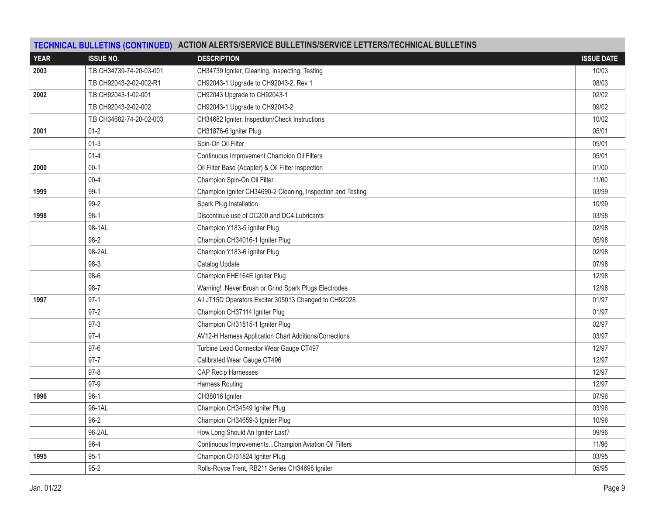|             |                          | TECHNICAL BULLETINS (CONTINUED) ACTION ALERTS/SERVICE BULLETINS/SERVICE LETTERS/TECHNICAL BULLETINS |                   |
|-------------|--------------------------|-----------------------------------------------------------------------------------------------------|-------------------|
| <b>YEAR</b> | <b>ISSUE NO.</b>         | <b>DESCRIPTION</b>                                                                                  | <b>ISSUE DATE</b> |
| 2003        | T.B.CH34739-74-20-03-001 | CH34739 Igniter, Cleaning, Inspecting, Testing                                                      | 10/03             |
|             | T.B.CH92043-2-02-002-R1  | CH92043-1 Upgrade to CH92043-2, Rev 1                                                               | 08/03             |
| 2002        | T.B.CH92043-1-02-001     | CH92043 Upgrade to CH92043-1                                                                        | 02/02             |
|             | T.B.CH92043-2-02-002     | CH92043-1 Upgrade to CH92043-2                                                                      | 09/02             |
|             | T.B.CH34682-74-20-02-003 | CH34682 Igniter, Inspection/Check Instructions                                                      | 10/02             |
| 2001        | $01 - 2$                 | CH31876-6 Igniter Plug                                                                              | 05/01             |
|             | $01 - 3$                 | Spin-On Oil Filter                                                                                  | 05/01             |
|             | $01 - 4$                 | Continuous Improvement Champion Oil Filters                                                         | 05/01             |
| 2000        | $00-1$                   | Oil Filter Base (Adapter) & Oil Filter Inspection                                                   | 01/00             |
|             | $00 - 4$                 | Champion Spin-On Oil Filter                                                                         | 11/00             |
| 1999        | $99-1$                   | Champion Igniter CH34690-2 Cleaning, Inspection and Testing                                         | 03/99             |
|             | $99-2$                   | Spark Plug Installation                                                                             | 10/99             |
| 1998        | $98-1$                   | Discontinue use of DC200 and DC4 Lubricants                                                         | 03/98             |
|             | 98-1AL                   | Champion Y183-5 Igniter Plug                                                                        | 02/98             |
|             | 98-2                     | Champion CH34016-1 Igniter Plug                                                                     | 05/98             |
|             | 98-2AL                   | Champion Y183-6 Igniter Plug                                                                        | 02/98             |
|             | 98-3                     | Catalog Update                                                                                      | 07/98             |
|             | $98-6$                   | Champion FHE164E Igniter Plug                                                                       | 12/98             |
|             | 98-7                     | Warning! Never Brush or Grind Spark Plugs Electrodes                                                | 12/98             |
| 1997        | $97-1$                   | All JT15D Operators Exciter 305013 Changed to CH92028                                               | 01/97             |
|             | $97-2$                   | Champion CH37114 Igniter Plug                                                                       | 01/97             |
|             | $97-3$                   | Champion CH31815-1 Igniter Plug                                                                     | 02/97             |
|             | $97 - 4$                 | AV12-H Harness Application Chart Additions/Corrections                                              | 03/97             |
|             | $97-6$                   | Turbine Lead Connector Wear Gauge CT497                                                             | 12/97             |
|             | $97 - 7$                 | Calibrated Wear Gauge CT496                                                                         | 12/97             |
|             | $97-8$                   | <b>CAP Recip Harnesses</b>                                                                          | 12/97             |
|             | $97-9$                   | Harness Routing                                                                                     | 12/97             |
| 1996        | $96-1$                   | CH38016 Igniter                                                                                     | 07/96             |
|             | 96-1AL                   | Champion CH34549 Igniter Plug                                                                       | 03/96             |
|             | $96 - 2$                 | Champion CH34659-3 Igniter Plug                                                                     | 10/96             |
|             | 96-2AL                   | How Long Should An Igniter Last?                                                                    | 09/96             |
|             | 96-4                     | Continuous ImprovementsChampion Aviation Oil Filters                                                | 11/96             |
| 1995        | $95-1$                   | Champion CH31824 Igniter Plug                                                                       | 03/95             |
|             | $95 - 2$                 | Rolls-Royce Trent, RB211 Series CH34698 Igniter                                                     | 05/95             |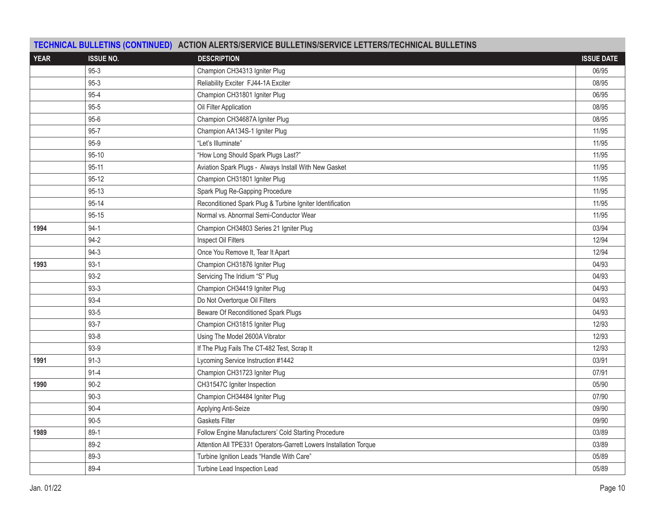|             |                  | TECHNICAL BULLETINS (CONTINUED) ACTION ALERTS/SERVICE BULLETINS/SERVICE LETTERS/TECHNICAL BULLETINS |                   |
|-------------|------------------|-----------------------------------------------------------------------------------------------------|-------------------|
| <b>YEAR</b> | <b>ISSUE NO.</b> | <b>DESCRIPTION</b>                                                                                  | <b>ISSUE DATE</b> |
|             | $95-3$           | Champion CH34313 Igniter Plug                                                                       | 06/95             |
|             | $95-3$           | Reliability Exciter FJ44-1A Exciter                                                                 | 08/95             |
|             | $95 - 4$         | Champion CH31801 Igniter Plug                                                                       | 06/95             |
|             | $95 - 5$         | Oil Filter Application                                                                              | 08/95             |
|             | $95 - 6$         | Champion CH34687A Igniter Plug                                                                      | 08/95             |
|             | $95 - 7$         | Champion AA134S-1 Igniter Plug                                                                      | 11/95             |
|             | $95-9$           | "Let's Illuminate"                                                                                  | 11/95             |
|             | 95-10            | "How Long Should Spark Plugs Last?"                                                                 | 11/95             |
|             | $95 - 11$        | Aviation Spark Plugs - Always Install With New Gasket                                               | 11/95             |
|             | $95 - 12$        | Champion CH31801 Igniter Plug                                                                       | 11/95             |
|             | $95 - 13$        | Spark Plug Re-Gapping Procedure                                                                     | 11/95             |
|             | 95-14            | Reconditioned Spark Plug & Turbine Igniter Identification                                           | 11/95             |
|             | $95 - 15$        | Normal vs. Abnormal Semi-Conductor Wear                                                             | 11/95             |
| 1994        | $94-1$           | Champion CH34803 Series 21 Igniter Plug                                                             | 03/94             |
|             | $94 - 2$         | Inspect Oil Filters                                                                                 | 12/94             |
|             | $94-3$           | Once You Remove It, Tear It Apart                                                                   | 12/94             |
| 1993        | $93-1$           | Champion CH31876 Igniter Plug                                                                       | 04/93             |
|             | $93-2$           | Servicing The Iridium "S" Plug                                                                      | 04/93             |
|             | $93-3$           | Champion CH34419 Igniter Plug                                                                       | 04/93             |
|             | $93 - 4$         | Do Not Overtorque Oil Filters                                                                       | 04/93             |
|             | $93 - 5$         | Beware Of Reconditioned Spark Plugs                                                                 | 04/93             |
|             | $93 - 7$         | Champion CH31815 Igniter Plug                                                                       | 12/93             |
|             | $93 - 8$         | Using The Model 2600A Vibrator                                                                      | 12/93             |
|             | $93-9$           | If The Plug Fails The CT-482 Test, Scrap It                                                         | 12/93             |
| 1991        | $91 - 3$         | Lycoming Service Instruction #1442                                                                  | 03/91             |
|             | $91 - 4$         | Champion CH31723 Igniter Plug                                                                       | 07/91             |
| 1990        | $90 - 2$         | CH31547C Igniter Inspection                                                                         | 05/90             |
|             | $90 - 3$         | Champion CH34484 Igniter Plug                                                                       | 07/90             |
|             | $90 - 4$         | Applying Anti-Seize                                                                                 | 09/90             |
|             | $90 - 5$         | <b>Gaskets Filter</b>                                                                               | 09/90             |
| 1989        | $89-1$           | Follow Engine Manufacturers' Cold Starting Procedure                                                | 03/89             |
|             | 89-2             | Attention All TPE331 Operators-Garrett Lowers Installation Torque                                   | 03/89             |
|             | 89-3             | Turbine Ignition Leads "Handle With Care"                                                           | 05/89             |
|             | 89-4             | Turbine Lead Inspection Lead                                                                        | 05/89             |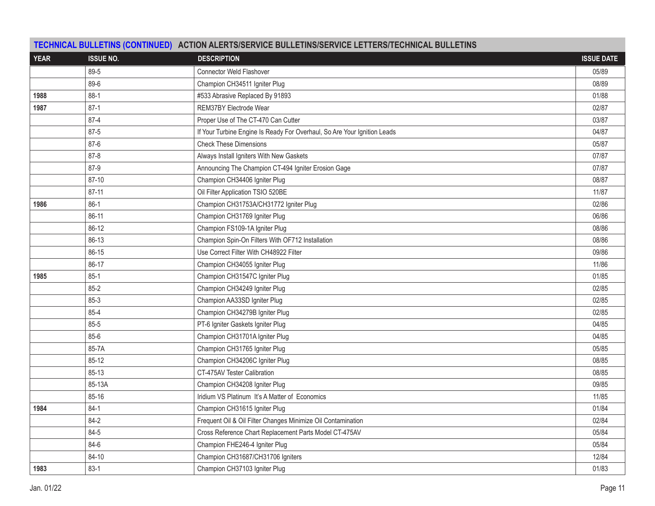|             |                  | TECHNICAL BULLETINS (CONTINUED) ACTION ALERTS/SERVICE BULLETINS/SERVICE LETTERS/TECHNICAL BULLETINS |                   |  |  |
|-------------|------------------|-----------------------------------------------------------------------------------------------------|-------------------|--|--|
| <b>YEAR</b> | <b>ISSUE NO.</b> | <b>DESCRIPTION</b>                                                                                  | <b>ISSUE DATE</b> |  |  |
|             | 89-5             | Connector Weld Flashover                                                                            | 05/89             |  |  |
|             | 89-6             | Champion CH34511 Igniter Plug                                                                       | 08/89             |  |  |
| 1988        | $88-1$           | #533 Abrasive Replaced By 91893                                                                     | 01/88             |  |  |
| 1987        | $87-1$           | REM37BY Electrode Wear                                                                              | 02/87             |  |  |
|             | $87 - 4$         | Proper Use of The CT-470 Can Cutter                                                                 | 03/87             |  |  |
|             | 87-5             | If Your Turbine Engine Is Ready For Overhaul, So Are Your Ignition Leads                            | 04/87             |  |  |
|             | 87-6             | <b>Check These Dimensions</b>                                                                       | 05/87             |  |  |
|             | 87-8             | Always Install Igniters With New Gaskets                                                            | 07/87             |  |  |
|             | 87-9             | Announcing The Champion CT-494 Igniter Erosion Gage                                                 | 07/87             |  |  |
|             | 87-10            | Champion CH34406 Igniter Plug                                                                       | 08/87             |  |  |
|             | $87 - 11$        | Oil Filter Application TSIO 520BE                                                                   | 11/87             |  |  |
| 1986        | $86-1$           | Champion CH31753A/CH31772 Igniter Plug                                                              | 02/86             |  |  |
|             | 86-11            | Champion CH31769 Igniter Plug                                                                       | 06/86             |  |  |
|             | 86-12            | Champion FS109-1A Igniter Plug                                                                      | 08/86             |  |  |
|             | 86-13            | Champion Spin-On Filters With OF712 Installation                                                    | 08/86             |  |  |
|             | 86-15            | Use Correct Filter With CH48922 Filter                                                              | 09/86             |  |  |
|             | 86-17            | Champion CH34055 Igniter Plug                                                                       | 11/86             |  |  |
| 1985        | $85-1$           | Champion CH31547C Igniter Plug                                                                      | 01/85             |  |  |
|             | $85 - 2$         | Champion CH34249 Igniter Plug                                                                       | 02/85             |  |  |
|             | 85-3             | Champion AA33SD Igniter Plug                                                                        | 02/85             |  |  |
|             | 85-4             | Champion CH34279B Igniter Plug                                                                      | 02/85             |  |  |
|             | 85-5             | PT-6 Igniter Gaskets Igniter Plug                                                                   | 04/85             |  |  |
|             | $85 - 6$         | Champion CH31701A Igniter Plug                                                                      | 04/85             |  |  |
|             | 85-7A            | Champion CH31765 Igniter Plug                                                                       | 05/85             |  |  |
|             | $85 - 12$        | Champion CH34206C Igniter Plug                                                                      | 08/85             |  |  |
|             | 85-13            | CT-475AV Tester Calibration                                                                         | 08/85             |  |  |
|             | 85-13A           | Champion CH34208 Igniter Plug                                                                       | 09/85             |  |  |
|             | 85-16            | Iridium VS Platinum It's A Matter of Economics                                                      | 11/85             |  |  |
| 1984        | 84-1             | Champion CH31615 Igniter Plug                                                                       | 01/84             |  |  |
|             | 84-2             | Frequent Oil & Oil Filter Changes Minimize Oil Contamination                                        | 02/84             |  |  |
|             | 84-5             | Cross Reference Chart Replacement Parts Model CT-475AV                                              | 05/84             |  |  |
|             | 84-6             | Champion FHE246-4 Igniter Plug                                                                      | 05/84             |  |  |
|             | 84-10            | Champion CH31687/CH31706 Igniters                                                                   | 12/84             |  |  |
| 1983        | $83-1$           | Champion CH37103 Igniter Plug                                                                       | 01/83             |  |  |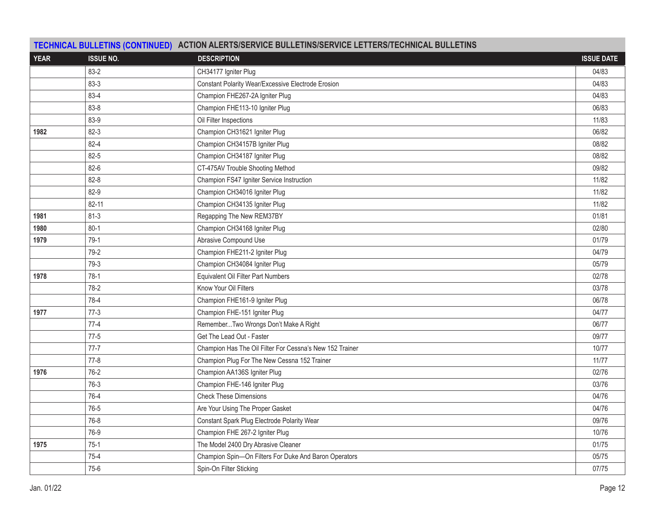| TECHNICAL BULLETINS (CONTINUED) ACTION ALERTS/SERVICE BULLETINS/SERVICE LETTERS/TECHNICAL BULLETINS |                  |                                                          |                   |  |  |
|-----------------------------------------------------------------------------------------------------|------------------|----------------------------------------------------------|-------------------|--|--|
| <b>YEAR</b>                                                                                         | <b>ISSUE NO.</b> | <b>DESCRIPTION</b>                                       | <b>ISSUE DATE</b> |  |  |
|                                                                                                     | 83-2             | CH34177 Igniter Plug                                     | 04/83             |  |  |
|                                                                                                     | $83-3$           | Constant Polarity Wear/Excessive Electrode Erosion       | 04/83             |  |  |
|                                                                                                     | 83-4             | Champion FHE267-2A Igniter Plug                          | 04/83             |  |  |
|                                                                                                     | 83-8             | Champion FHE113-10 Igniter Plug                          | 06/83             |  |  |
|                                                                                                     | 83-9             | Oil Filter Inspections                                   | 11/83             |  |  |
| 1982                                                                                                | 82-3             | Champion CH31621 Igniter Plug                            | 06/82             |  |  |
|                                                                                                     | $82 - 4$         | Champion CH34157B Igniter Plug                           | 08/82             |  |  |
|                                                                                                     | $82 - 5$         | Champion CH34187 Igniter Plug                            | 08/82             |  |  |
|                                                                                                     | 82-6             | CT-475AV Trouble Shooting Method                         | 09/82             |  |  |
|                                                                                                     | $82 - 8$         | Champion FS47 Igniter Service Instruction                | 11/82             |  |  |
|                                                                                                     | 82-9             | Champion CH34016 Igniter Plug                            | 11/82             |  |  |
|                                                                                                     | $82 - 11$        | Champion CH34135 Igniter Plug                            | 11/82             |  |  |
| 1981                                                                                                | $81 - 3$         | Regapping The New REM37BY                                | 01/81             |  |  |
| 1980                                                                                                | $80 - 1$         | Champion CH34168 Igniter Plug                            | 02/80             |  |  |
| 1979                                                                                                | $79-1$           | Abrasive Compound Use                                    | 01/79             |  |  |
|                                                                                                     | 79-2             | Champion FHE211-2 Igniter Plug                           | 04/79             |  |  |
|                                                                                                     | 79-3             | Champion CH34084 Igniter Plug                            | 05/79             |  |  |
| 1978                                                                                                | $78-1$           | Equivalent Oil Filter Part Numbers                       | 02/78             |  |  |
|                                                                                                     | 78-2             | Know Your Oil Filters                                    | 03/78             |  |  |
|                                                                                                     | 78-4             | Champion FHE161-9 Igniter Plug                           | 06/78             |  |  |
| 1977                                                                                                | $77-3$           | Champion FHE-151 Igniter Plug                            | 04/77             |  |  |
|                                                                                                     | $77-4$           | RememberTwo Wrongs Don't Make A Right                    | 06/77             |  |  |
|                                                                                                     | $77-5$           | Get The Lead Out - Faster                                | 09/77             |  |  |
|                                                                                                     | $77 - 7$         | Champion Has The Oil Filter For Cessna's New 152 Trainer | 10/77             |  |  |
|                                                                                                     | $77-8$           | Champion Plug For The New Cessna 152 Trainer             | 11/77             |  |  |
| 1976                                                                                                | $76-2$           | Champion AA136S Igniter Plug                             | 02/76             |  |  |
|                                                                                                     | 76-3             | Champion FHE-146 Igniter Plug                            | 03/76             |  |  |
|                                                                                                     | 76-4             | <b>Check These Dimensions</b>                            | 04/76             |  |  |
|                                                                                                     | 76-5             | Are Your Using The Proper Gasket                         | 04/76             |  |  |
|                                                                                                     | 76-8             | Constant Spark Plug Electrode Polarity Wear              | 09/76             |  |  |
|                                                                                                     | 76-9             | Champion FHE 267-2 Igniter Plug                          | 10/76             |  |  |
| 1975                                                                                                | $75-1$           | The Model 2400 Dry Abrasive Cleaner                      | 01/75             |  |  |
|                                                                                                     | $75-4$           | Champion Spin-On Filters For Duke And Baron Operators    | 05/75             |  |  |
|                                                                                                     | $75-6$           | Spin-On Filter Sticking                                  | 07/75             |  |  |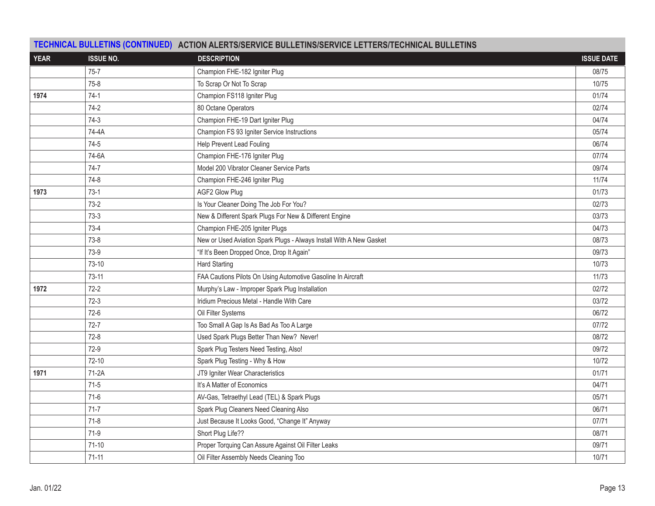| TECHNICAL BULLETINS (CONTINUED) ACTION ALERTS/SERVICE BULLETINS/SERVICE LETTERS/TECHNICAL BULLETINS |                  |                                                                     |                   |  |
|-----------------------------------------------------------------------------------------------------|------------------|---------------------------------------------------------------------|-------------------|--|
| <b>YEAR</b>                                                                                         | <b>ISSUE NO.</b> | <b>DESCRIPTION</b>                                                  | <b>ISSUE DATE</b> |  |
|                                                                                                     | $75 - 7$         | Champion FHE-182 Igniter Plug                                       | 08/75             |  |
|                                                                                                     | $75-8$           | To Scrap Or Not To Scrap                                            | 10/75             |  |
| 1974                                                                                                | $74-1$           | Champion FS118 Igniter Plug                                         | 01/74             |  |
|                                                                                                     | 74-2             | 80 Octane Operators                                                 | 02/74             |  |
|                                                                                                     | $74-3$           | Champion FHE-19 Dart Igniter Plug                                   | 04/74             |  |
|                                                                                                     | 74-4A            | Champion FS 93 Igniter Service Instructions                         | 05/74             |  |
|                                                                                                     | $74-5$           | Help Prevent Lead Fouling                                           | 06/74             |  |
|                                                                                                     | 74-6A            | Champion FHE-176 Igniter Plug                                       | 07/74             |  |
|                                                                                                     | $74-7$           | Model 200 Vibrator Cleaner Service Parts                            | 09/74             |  |
|                                                                                                     | $74-8$           | Champion FHE-246 Igniter Plug                                       | 11/74             |  |
| 1973                                                                                                | $73-1$           | AGF2 Glow Plug                                                      | 01/73             |  |
|                                                                                                     | $73-2$           | Is Your Cleaner Doing The Job For You?                              | 02/73             |  |
|                                                                                                     | $73-3$           | New & Different Spark Plugs For New & Different Engine              | 03/73             |  |
|                                                                                                     | $73-4$           | Champion FHE-205 Igniter Plugs                                      | 04/73             |  |
|                                                                                                     | $73-8$           | New or Used Aviation Spark Plugs - Always Install With A New Gasket | 08/73             |  |
|                                                                                                     | 73-9             | "If It's Been Dropped Once, Drop It Again"                          | 09/73             |  |
|                                                                                                     | 73-10            | <b>Hard Starting</b>                                                | 10/73             |  |
|                                                                                                     | 73-11            | FAA Cautions Pilots On Using Automotive Gasoline In Aircraft        | 11/73             |  |
| 1972                                                                                                | $72-2$           | Murphy's Law - Improper Spark Plug Installation                     | 02/72             |  |
|                                                                                                     | $72-3$           | Iridium Precious Metal - Handle With Care                           | 03/72             |  |
|                                                                                                     | $72-6$           | Oil Filter Systems                                                  | 06/72             |  |
|                                                                                                     | $72 - 7$         | Too Small A Gap Is As Bad As Too A Large                            | 07/72             |  |
|                                                                                                     | $72-8$           | Used Spark Plugs Better Than New? Never!                            | 08/72             |  |
|                                                                                                     | $72-9$           | Spark Plug Testers Need Testing, Also!                              | 09/72             |  |
|                                                                                                     | $72-10$          | Spark Plug Testing - Why & How                                      | 10/72             |  |
| 1971                                                                                                | $71-2A$          | JT9 Igniter Wear Characteristics                                    | 01/71             |  |
|                                                                                                     | $71-5$           | It's A Matter of Economics                                          | 04/71             |  |
|                                                                                                     | $71-6$           | AV-Gas, Tetraethyl Lead (TEL) & Spark Plugs                         | 05/71             |  |
|                                                                                                     | $71-7$           | Spark Plug Cleaners Need Cleaning Also                              | 06/71             |  |
|                                                                                                     | $71-8$           | Just Because It Looks Good, "Change It" Anyway                      | 07/71             |  |
|                                                                                                     | $71-9$           | Short Plug Life??                                                   | 08/71             |  |
|                                                                                                     | $71-10$          | Proper Torquing Can Assure Against Oil Filter Leaks                 | 09/71             |  |
|                                                                                                     | $71 - 11$        | Oil Filter Assembly Needs Cleaning Too                              | 10/71             |  |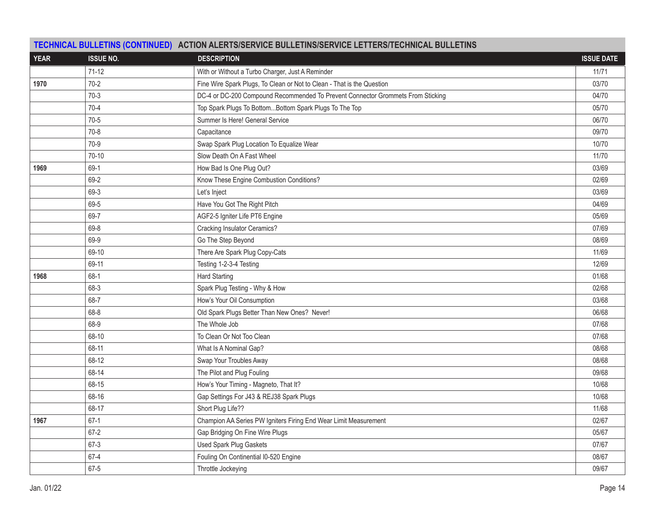| <b>YEAR</b> | <b>ISSUE NO.</b> | <b>DESCRIPTION</b>                                                              | <b>ISSUE DATE</b> |
|-------------|------------------|---------------------------------------------------------------------------------|-------------------|
|             | $71-12$          | With or Without a Turbo Charger, Just A Reminder                                | 11/71             |
| 1970        | $70-2$           | Fine Wire Spark Plugs, To Clean or Not to Clean - That is the Question          | 03/70             |
|             | $70-3$           | DC-4 or DC-200 Compound Recommended To Prevent Connector Grommets From Sticking | 04/70             |
|             | $70-4$           | Top Spark Plugs To BottomBottom Spark Plugs To The Top                          | 05/70             |
|             | $70-5$           | Summer Is Here! General Service                                                 | 06/70             |
|             | $70-8$           | Capacitance                                                                     | 09/70             |
|             | $70-9$           | Swap Spark Plug Location To Equalize Wear                                       | 10/70             |
|             | $70-10$          | Slow Death On A Fast Wheel                                                      | 11/70             |
| 1969        | 69-1             | How Bad Is One Plug Out?                                                        | 03/69             |
|             | 69-2             | Know These Engine Combustion Conditions?                                        | 02/69             |
|             | 69-3             | Let's Inject                                                                    | 03/69             |
|             | 69-5             | Have You Got The Right Pitch                                                    | 04/69             |
|             | 69-7             | AGF2-5 Igniter Life PT6 Engine                                                  | 05/69             |
|             | 69-8             | Cracking Insulator Ceramics?                                                    | 07/69             |
|             | 69-9             | Go The Step Beyond                                                              | 08/69             |
|             | 69-10            | There Are Spark Plug Copy-Cats                                                  | 11/69             |
|             | 69-11            | Testing 1-2-3-4 Testing                                                         | 12/69             |
| 1968        | 68-1             | <b>Hard Starting</b>                                                            | 01/68             |
|             | 68-3             | Spark Plug Testing - Why & How                                                  | 02/68             |
|             | 68-7             | How's Your Oil Consumption                                                      | 03/68             |
|             | 68-8             | Old Spark Plugs Better Than New Ones? Never!                                    | 06/68             |
|             | 68-9             | The Whole Job                                                                   | 07/68             |
|             | 68-10            | To Clean Or Not Too Clean                                                       | 07/68             |
|             | 68-11            | What Is A Nominal Gap?                                                          | 08/68             |
|             | 68-12            | Swap Your Troubles Away                                                         | 08/68             |
|             | 68-14            | The Pilot and Plug Fouling                                                      | 09/68             |
|             | 68-15            | How's Your Timing - Magneto, That It?                                           | 10/68             |
|             | 68-16            | Gap Settings For J43 & REJ38 Spark Plugs                                        | 10/68             |
|             | 68-17            | Short Plug Life??                                                               | 11/68             |
| 1967        | $67-1$           | Champion AA Series PW Igniters Firing End Wear Limit Measurement                | 02/67             |
|             | $67 - 2$         | Gap Bridging On Fine Wire Plugs                                                 | 05/67             |
|             | 67-3             | <b>Used Spark Plug Gaskets</b>                                                  | 07/67             |
|             | $67 - 4$         | Fouling On Continential I0-520 Engine                                           | 08/67             |
|             | 67-5             | Throttle Jockeying                                                              | 09/67             |

## **TECHNICAL BULLETINS (CONTINUED) ACTION ALERTS/SERVICE BULLETINS/SERVICE LETTERS/TECHNICAL BULLETINS**